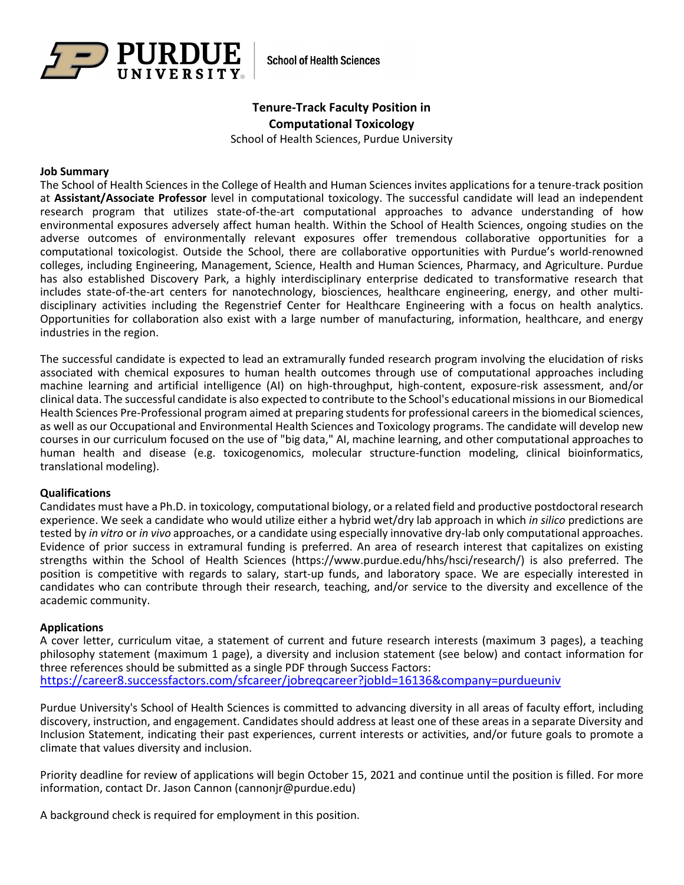

**School of Health Sciences** 

# **Tenure-Track Faculty Position in Computational Toxicology**

School of Health Sciences, Purdue University

#### **Job Summary**

The School of Health Sciences in the College of Health and Human Sciences invites applications for a tenure-track position at **Assistant/Associate Professor** level in computational toxicology. The successful candidate will lead an independent research program that utilizes state-of-the-art computational approaches to advance understanding of how environmental exposures adversely affect human health. Within the School of Health Sciences, ongoing studies on the adverse outcomes of environmentally relevant exposures offer tremendous collaborative opportunities for a computational toxicologist. Outside the School, there are collaborative opportunities with Purdue's world-renowned colleges, including Engineering, Management, Science, Health and Human Sciences, Pharmacy, and Agriculture. Purdue has also established Discovery Park, a highly interdisciplinary enterprise dedicated to transformative research that includes state-of-the-art centers for nanotechnology, biosciences, healthcare engineering, energy, and other multidisciplinary activities including the Regenstrief Center for Healthcare Engineering with a focus on health analytics. Opportunities for collaboration also exist with a large number of manufacturing, information, healthcare, and energy industries in the region.

The successful candidate is expected to lead an extramurally funded research program involving the elucidation of risks associated with chemical exposures to human health outcomes through use of computational approaches including machine learning and artificial intelligence (AI) on high-throughput, high-content, exposure-risk assessment, and/or clinical data. The successful candidate is also expected to contribute to the School's educational missions in our Biomedical Health Sciences Pre-Professional program aimed at preparing students for professional careers in the biomedical sciences, as well as our Occupational and Environmental Health Sciences and Toxicology programs. The candidate will develop new courses in our curriculum focused on the use of "big data," AI, machine learning, and other computational approaches to human health and disease (e.g. toxicogenomics, molecular structure-function modeling, clinical bioinformatics, translational modeling).

#### **Qualifications**

Candidates must have a Ph.D. in toxicology, computational biology, or a related field and productive postdoctoral research experience. We seek a candidate who would utilize either a hybrid wet/dry lab approach in which *in silico* predictions are tested by *in vitro* or *in vivo* approaches, or a candidate using especially innovative dry-lab only computational approaches. Evidence of prior success in extramural funding is preferred. An area of research interest that capitalizes on existing strengths within the School of Health Sciences (https://www.purdue.edu/hhs/hsci/research/) is also preferred. The position is competitive with regards to salary, start-up funds, and laboratory space. We are especially interested in candidates who can contribute through their research, teaching, and/or service to the diversity and excellence of the academic community.

### **Applications**

A cover letter, curriculum vitae, a statement of current and future research interests (maximum 3 pages), a teaching philosophy statement (maximum 1 page), a diversity and inclusion statement (see below) and contact information for three references should be submitted as a single PDF through Success Factors: <https://career8.successfactors.com/sfcareer/jobreqcareer?jobId=16136&company=purdueuniv>

Purdue University's School of Health Sciences is committed to advancing diversity in all areas of faculty effort, including discovery, instruction, and engagement. Candidates should address at least one of these areas in a separate Diversity and Inclusion Statement, indicating their past experiences, current interests or activities, and/or future goals to promote a climate that values diversity and inclusion.

Priority deadline for review of applications will begin October 15, 2021 and continue until the position is filled. For more information, contact Dr. Jason Cannon (cannonjr@purdue.edu)

A background check is required for employment in this position.